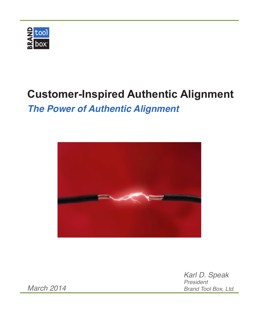

## **Customer-Inspired Authentic Alignment**

*The Power of Authentic Alignment*



*Karl D. Speak President Brand Tool Box, Ltd.*

*March 2014*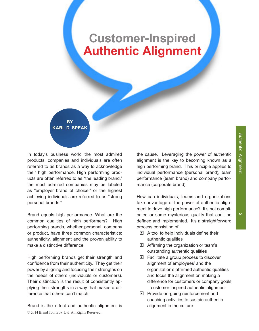# **Customer-Inspired Authentic Alignment**

**BY KARL D. SPEAK** 

In today's business world the most admired products, companies and individuals are often referred to as brands as a way to acknowledge their high performance. High performing products are often referred to as "the leading brand," the most admired companies may be labeled as "employer brand of choice," or the highest achieving individuals are referred to as "strong personal brands."

Brand equals high performance. What are the common qualities of high performers? High performing brands, whether personal, company or product, have three common characteristics: authenticity, alignment and the proven ability to make a distinctive difference.

High performing brands get their strength and confidence from their authenticity. They get their power by aligning and focusing their strengths on the needs of others (individuals or customers). Their distinction is the result of consistently applying their strengths in a way that makes a difference that others can't match.

© 2014 Brand Tool Box, Ltd. All Rights Reserved. Brand is the effect and authentic alignment is the cause. Leveraging the power of authentic alignment is the key to becoming known as a high performing brand. This principle applies to individual performance (personal brand), team performance (team brand) and company performance (corporate brand).

How can individuals, teams and organizations take advantage of the power of authentic alignment to drive high performance? It's not complicated or some mysterious quality that can't be defined and implemented. It's a straightforward process consisting of:

- $\blacksquare$  A tool to help individuals define their authentic qualities
- $\blacksquare$  Affirming the organization or team's outstanding authentic qualities
- $\blacksquare$  Facilitate a group process to discover alignment of employees' and the organization's affirmed authentic qualities and focus the alignment on making a difference for customers or company goals  $-$  customer-inspired authentic alignment
- $\Box$  Provide on-going reinforcement and coaching activities to sustain authentic alignment in the culture

 $\overline{v}$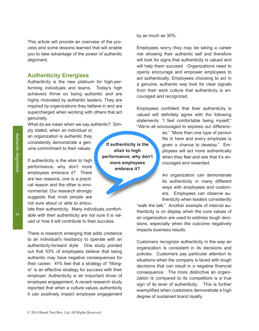**Authentic Alignment** Authentic#Alignment

This article will provide an overview of the process and some lessons learned that will enable you to take advantage of the power of authentic alignment.

#### **Authenticity Energizes**

Authenticity is the new platinum for high-performing individuals and teams. Today's high achievers thrive on being authentic and are highly motivated by authentic leaders. They are inspired by organizations they believe in and are supercharged when working with others that act genuinely.

What do we mean when we say authentic? Sim-

ply stated, when an individual or an organization is authentic they consistently demonstrate a genuine commitment to their values.

If authenticity is the elixir to high performance, why don't more employees embrace it? There are two reasons, one is a practical reason and the other is environmental. Our research strongly suggests that most people are not sure about or able to articu-

late their authenticity. Many individuals comfortable with their authenticity are not sure it is valued or how it will contribute to their success.

There is research emerging that adds credence to an individual's hesitancy to operate with an authenticity-forward style. One study pointed out that 53% of employees believe that being authentic may have negative consequences for their career. 41% feel that a strategy of "fittingin" is an effective strategy for success with their employer. Authenticity is an important driver of employee engagement. A recent research study reported that when a culture values authenticity it can positively impact employee engagement

**If authenticity is the elixir to high** performance, why don't more employees embrace it?

by as much as 30%.

Employees worry they may be taking a career risk showing their authentic self and therefore will look for signs that authenticity is valued and will help them succeed. Organizations need to openly encourage and empower employees to act authentically. Employees choosing to act in a genuine, authentic way look for clear signals from their work culture that authenticity is encouraged and recognized.

Employees confident that their authenticity is valued will definitely agree with the following statements: "I feel comfortable being myself;" "We're all encouraged to express our differenc-

> es;" "More than one type of person fits in here and every employee is given a chance to develop." Employees will act more authentically when they feel and see that it's encouraged and rewarded.

> An organization can demonstrate its authenticity in many different ways with employees and customers.# # Employees# can# observe# au= thenticity when leaders consistently

"walk the talk." Another example of internal authenticity is on display when the core values of an organization are used to address tough decisions, especially when the outcome negatively impacts business results.

Customers recognize authenticity in the way an organization is consistent in its decisions and policies. Customers pay particular attention to situations when the company is faced with tough decisions that can result in a negative financial consequence. The more distinctive an organization is compared to its competitors is a true sign of its level of authenticity. This is further exemplified when customers demonstrate a high degree of sustained brand loyalty.

 $\ddot{\omega}$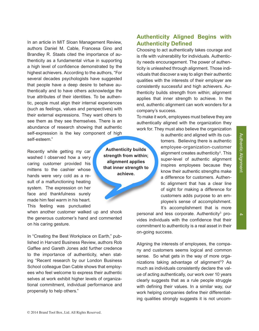In an article in MIT Sloan Management Review, authors Daniel M. Cable, Francesa Gino and Brandley R. Staats cited the importance of authenticity as a fundamental virtue in supporting a high level of confidence demonstrated by the highest achievers. According to the authors, "For several decades psychologists have suggested that people have a deep desire to behave authentically and to have others acknowledge the true attributes of their identities. To be authentic, people must align their internal experiences (such as feelings, values and perspectives) with their external expressions. They want others to see them as they see themselves. There is an abundance of research showing that authentic self-expression is the key component of high self-esteem."

Recently while getting my car washed I observed how a very caring customer provided his mittens to the cashier whose hands were very cold as a result of a malfunctioning heating system. The expression on her face and thankfulness surely made him feel warm in his heart. This feeling was punctuated

when another customer walked up and shook the generous customer's hand and commented on his caring gesture.

In "Creating the Best Workplace on Earth," published in Harvard Business Review, authors Rob Gaffee and Gareth Jones add further credence to the importance of authenticity, when stating "Recent research by our London Business School colleague Dan Cable shows that employees who feel welcome to express their authentic selves at work exhibit higher levels of organizational commitment, individual performance and propensity to help others."

**Authenticity builds** strength from within; **alignment** applies that inner strength to **achieve.**

#### **Authenticity Aligned Begins with Authenticity Defined**

Choosing to act authentically takes courage and is rife with vulnerability for individuals. Authenticity needs encouragement. The power of authenticity is unleashed through alignment. Those individuals that discover a way to align their authentic qualities with the interests of their employer are consistently successful and high achievers. Authenticity builds strength from within; alignment applies that inner strength to achieve. In the end, authentic alignment can work wonders for a company's success.

To make it work, employees must believe they are authentically aligned with the organization they work for. They must also believe the organization

> is authentic and aligned with its customers. Believing there is authentic employee-organization-customer alignment creates authenticity<sup>3</sup>. This super-level of authentic alignment inspires employees because they know their authentic strengths make a difference for customers. Authentic alignment that has a clear line of sight for making a difference for customers adds purpose to an employee's sense of accomplishment. It's accomplishment that is more

personal and less corporate. Authenticity<sup>3</sup> provides individuals with the confidence that their commitment to authenticity is a real asset in their on-going success.

Aligning the interests of employees, the company and customers seems logical and common sense. So what gets in the way of more organizations taking advantage of alignment<sup>3</sup>? As much as individuals consistently declare the value of acting authentically, our work over 10 years clearly suggests that as a rule people struggle with defining their values. In a similar way, our work helping companies define their differentiating qualities strongly suggests it is not uncom-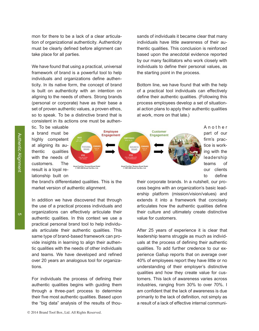mon for there to be a lack of a clear articulation of organizational authenticity. Authenticity must be clearly defined before alignment can take place for all parties.

We have found that using a practical, universal framework of brand is a powerful tool to help individuals and organizations define authenticity. In its native form, the concept of brand is built on authenticity with an intention on aligning to the needs of others. Strong brands (personal or corporate) have as their base a set of proven authentic values, a proven ethos, so to speak. To be a distinctive brand that is consistent in its actions one must be authen-

sands of individuals it became clear that many individuals have little awareness of their authentic qualities. This conclusion is reinforced based upon the anecdotal evidence reported by our many facilitators who work closely with individuals to define their personal values, as the starting point in the process.

Bottom line, we have found that with the help of a practical tool individuals can effectively define their authentic qualities. (Following this process employees develop a set of situational action plans to apply their authentic qualities at work, more on that late.)

tic. To be valuable a brand must be highly competent at aligning its  $au$ thentic qualities with the needs of customers. The result is a loyal relationship built on



A n o t h e r# part of our firm's practice is working with the leadership# teams of our clients to define

the brand's differentiated qualities. This is the market version of authentic alignment.

In addition we have discovered that through the use of a practical process individuals and organizations can effectively articulate their authentic qualities. In this context we use a practical personal brand tool to help individuals articulate their authentic qualities. This same type of brand-based framework can provide insights in learning to align their authentic qualities with the needs of other individuals and teams. We have developed and refined over 20 years an analogous tool for organizations.

For individuals the process of defining their authentic qualities begins with guiding them through a three-part process to determine their five most authentic qualities. Based upon the "big data" analysis of the results of thoutheir corporate brands. In a nutshell, our process begins with an organization's basic leadership platform (mission/vision/values) and extends it into a framework that concisely articulates how the authentic qualities define their culture and ultimately create distinctive value for customers.

After 25 years of experience it is clear that leadership teams struggle as much as individuals at the process of defining their authentic qualities. To add further credence to our experience Gallup reports that on average over 40% of employees report they have little or no understanding of their employer's distinctive qualities and how they create value for customers. This lack of awareness varies across industries, ranging from 30% to over 70%. I am confident that the lack of awareness is due primarily to the lack of definition, not simply as a result of a lack of effective internal communi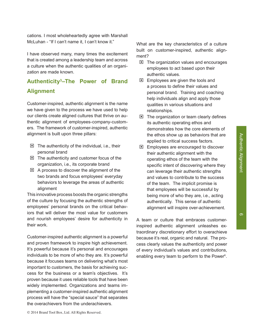cations. I most wholeheartedly agree with Marshall McLuhan - "If I can't name it. I can't know it."

I have observed many, many times the excitement that is created among a leadership team and across a culture when the authentic qualities of an organization are made known.

## Authenticity<sup>3</sup>–The Power of Brand **Alignment**

Customer-inspired, authentic alignment is the name we have given to the process we have used to help our clients create aligned cultures that thrive on authentic alignment of employees-company-customers. The framework of customer-inspired, authentic alignment is built upon three pillars:

- $\blacksquare$  The authenticity of the individual, i.e., their personal brand
- $\Box$  The authenticity and customer focus of the organization, i.e., its corporate brand
- $\Box$  A process to discover the alignment of the two brands and focus employees' everyday behaviors to leverage the areas of authentic alignment

This innovative process boosts the organic strengths of the culture by focusing the authentic strengths of employees' personal brands on the critical behaviors that will deliver the most value for customers and nourish employees' desire for authenticity in their work.

Customer-inspired authentic alignment is a powerful and proven framework to inspire high achievement. It's powerful because it's personal and encourages individuals to be more of who they are. It's powerful because it focuses teams on delivering what's most important to customers, the basis for achieving success for the business or a team's objectives. It's proven because it uses reliable tools that have been widely implemented. Organizations and teams implementing a customer-inspired authentic alignment process will have the "special sauce" that separates the overachievers from the underachievers.

What are the key characteristics of a culture built on customer-inspired, authentic alignment?

- $\blacksquare$  The organization values and encourages employees to act based upon their authentic values.
- $\Box$  Employees are given the tools and a process to define their values and personal brand. Training and coaching help individuals align and apply those qualities in various situations and relationships.
- $\blacksquare$  The organization or team clearly defines its authentic operating ethos and demonstrates how the core elements of the ethos show up as behaviors that are applied to critical success factors.
- $\Box$  Employees are encouraged to discover their authentic alignment with the operating ethos of the team with the specific intent of discovering where they can leverage their authentic strengths and values to contribute to the success of the team. The implicit promise is that employees will be successful by being more of who they are, i.e., acting authentically. This sense of authentic alignment will inspire over-achievement.

A team or culture that embraces customerinspired authentic alignment unleashes extraordinary discretionary effort to overachieve because it's real, organic and natural. The process clearly values the authenticity and power of every individual's values and contributions, enabling every team to perform to the Power<sup>x</sup>.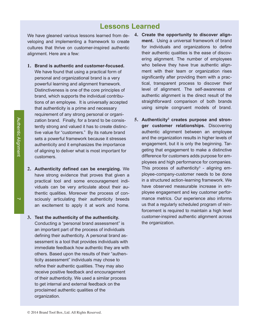### **Lessons Learned**

We have gleaned various lessons learned from de- **4. Create the opportunity to discover align**veloping and implementing a framework to create cultures that thrive on customer-inspired authentic alignment. Here are a few:

- 1. **Brand is authentic and customer-focused.** We have found that using a practical form of personal and organizational brand is a very powerful learning and alignment framework. Distinctiveness is one of the core principles of brand, which supports the individual contributions of an employee. It is universally accepted that authenticity is a prime and necessary requirement of any strong personal or organization brand. Finally, for a brand to be consistently strong and valued it has to create distinctive value for "customers." By its nature brand sets a powerful framework because it stresses authenticity and it emphasizes the importance of aligning to deliver what is most important for customers.
- 2. Authenticity defined can be energizing. We have strong evidence that proves that given a practical tool and some encouragement individuals can be very articulate about their authentic qualities. Moreover the process of consciously articulating their authenticity breeds an excitement to apply it at work and home.
- **3. Test the authenticity of the authenticity.** Conducting a "personal brand assessment" is an important part of the process of individuals defining their authenticity. A personal brand assessment is a tool that provides individuals with immediate feedback how authentic they are with others. Based upon the results of their "authenticity assessment" individuals may chose to refine their authentic qualities. They may also receive positive feedback and encouragement of their authenticity. We used a similar process to get internal and external feedback on the proclaimed authentic qualities of the organization.#
- **ment.** Using a universal framework of brand for individuals and organizations to define their authentic qualities is the ease of discovering alignment. The number of employees who believe they have true authentic alignment with their team or organization rises significantly after providing them with a practical, transparent process to discover their level of alignment. The self-awareness of authentic alignment is the direct result of the straightforward comparison of both brands using simple congruent models of brand.
- **5. Authenticity3 / creates/ purpose/ and/ stron)** ger customer relationships. Discovering authentic alignment between an employee and the organization results in higher levels of engagement, but it is only the beginning. Targeting that engagement to make a distinctive difference for customers adds purpose for employees and high performance for companies. This process of authenticity<sup>3</sup> - aligning employee-company-customer needs to be done in a structured action-learning framework. We have observed measurable increase in employee engagement and key customer performance metrics. Our experience also informs us that a regularly scheduled program of reinforcement is required to maintain a high level customer-inspired authentic alignment across the organization.

 $\overline{\phantom{0}}$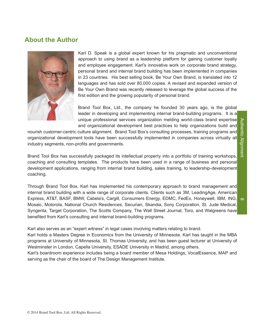# **Authentic Alignment** Authentic#Alignment

#### **About the Author**



Karl D. Speak is a global expert known for his pragmatic and unconventional approach to using brand as a leadership platform for gaining customer loyalty and employee engagement. Karl's innovative work on corporate brand strategy, personal brand and internal brand building has been implemented in companies in 23 countries. His best selling book, Be Your Own Brand, is translated into 12 languages and has sold over 80,000 copies. A revised and expanded version of Be Your Own Brand was recently released to leverage the global success of the first edition and the growing popularity of personal brand.

Brand Tool Box, Ltd., the company he founded 30 years ago, is the global leader in developing and implementing internal brand-building programs. It is a unique professional services organization melding world-class brand expertise and organizational development best practices to help organizations build and

nourish customer-centric culture alignment. Brand Tool Box's consulting processes, training programs and organizational development tools have been successfully implemented in companies across virtually all industry segments, non-profits and governments.

Brand Tool Box has successfully packaged its intellectual property into a portfolio of training workshops, coaching and consulting templates. The products have been used in a range of business and personal development applications, ranging from internal brand building, sales training, to leadership-development coaching.

 $\infty$ Through Brand Tool Box, Karl has implemented his contemporary approach to brand management and internal brand building with a wide range of corporate clients. Clients such as 3M, LeadingAge, American Express, AT&T, BASF, BMW, Cabela's, Cargill, Consumers Energy, EDMC, FedEx, Honeywell, IBM, ING, Mosaic, Motorola, National Church Residences, Securian, Skandia, Sony Corporation, St. Jude Medical, Syngenta, Target Corporation, The Scotts Company, The Wall Street Journal, Toro, and Walgreens have benefited from Karl's consulting and internal brand-building programs.

Karl also serves as an "expert witness" in legal cases involving matters relating to brand.

Karl holds a Masters Degree in Economics from the University of Minnesota. Karl has taught in the MBA programs at University of Minnesota, St. Thomas University, and has been guest lecturer at University of Westminster in London, Capella University, ESADE University in Madrid, among others.

Karl's boardroom experience includes being a board member of Mesa Holdings, VocalEssence, MAP and serving as the chair of the board of The Design Management Institute.